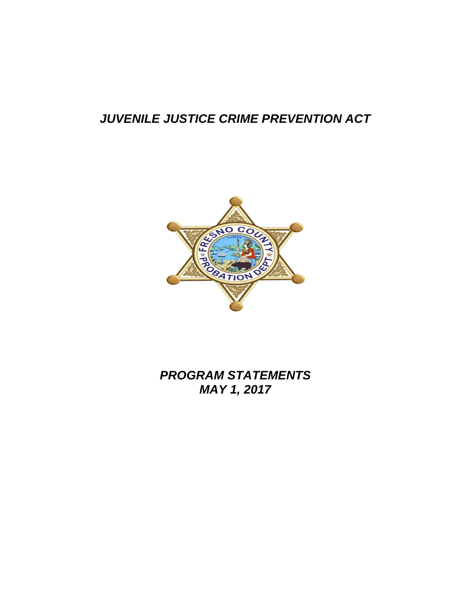# *JUVENILE JUSTICE CRIME PREVENTION ACT*



*PROGRAM STATEMENTS MAY 1, 2017*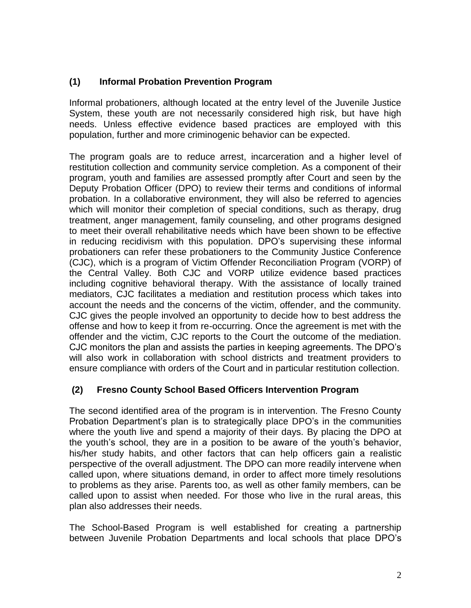## **(1) Informal Probation Prevention Program**

Informal probationers, although located at the entry level of the Juvenile Justice System, these youth are not necessarily considered high risk, but have high needs. Unless effective evidence based practices are employed with this population, further and more criminogenic behavior can be expected.

The program goals are to reduce arrest, incarceration and a higher level of restitution collection and community service completion. As a component of their program, youth and families are assessed promptly after Court and seen by the Deputy Probation Officer (DPO) to review their terms and conditions of informal probation. In a collaborative environment, they will also be referred to agencies which will monitor their completion of special conditions, such as therapy, drug treatment, anger management, family counseling, and other programs designed to meet their overall rehabilitative needs which have been shown to be effective in reducing recidivism with this population. DPO's supervising these informal probationers can refer these probationers to the Community Justice Conference (CJC), which is a program of Victim Offender Reconciliation Program (VORP) of the Central Valley. Both CJC and VORP utilize evidence based practices including cognitive behavioral therapy. With the assistance of locally trained mediators, CJC facilitates a mediation and restitution process which takes into account the needs and the concerns of the victim, offender, and the community. CJC gives the people involved an opportunity to decide how to best address the offense and how to keep it from re-occurring. Once the agreement is met with the offender and the victim, CJC reports to the Court the outcome of the mediation. CJC monitors the plan and assists the parties in keeping agreements. The DPO's will also work in collaboration with school districts and treatment providers to ensure compliance with orders of the Court and in particular restitution collection.

#### **(2) Fresno County School Based Officers Intervention Program**

The second identified area of the program is in intervention. The Fresno County Probation Department's plan is to strategically place DPO's in the communities where the youth live and spend a majority of their days. By placing the DPO at the youth's school, they are in a position to be aware of the youth's behavior, his/her study habits, and other factors that can help officers gain a realistic perspective of the overall adjustment. The DPO can more readily intervene when called upon, where situations demand, in order to affect more timely resolutions to problems as they arise. Parents too, as well as other family members, can be called upon to assist when needed. For those who live in the rural areas, this plan also addresses their needs.

The School-Based Program is well established for creating a partnership between Juvenile Probation Departments and local schools that place DPO's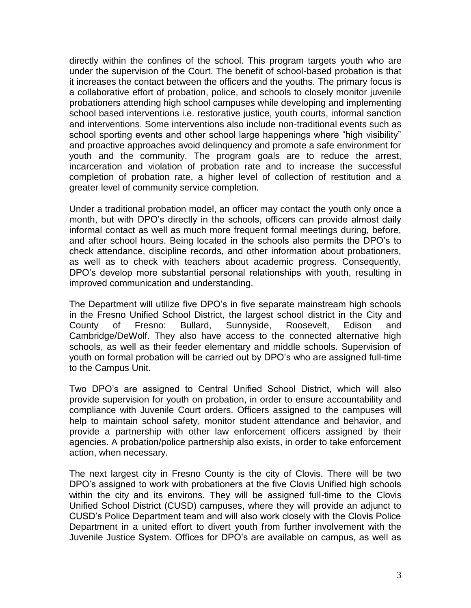directly within the confines of the school. This program targets youth who are under the supervision of the Court. The benefit of school-based probation is that it increases the contact between the officers and the youths. The primary focus is a collaborative effort of probation, police, and schools to closely monitor juvenile probationers attending high school campuses while developing and implementing school based interventions i.e. restorative justice, youth courts, informal sanction and interventions. Some interventions also include non-traditional events such as school sporting events and other school large happenings where "high visibility" and proactive approaches avoid delinquency and promote a safe environment for youth and the community. The program goals are to reduce the arrest, incarceration and violation of probation rate and to increase the successful completion of probation rate, a higher level of collection of restitution and a greater level of community service completion.

Under a traditional probation model, an officer may contact the youth only once a month, but with DPO's directly in the schools, officers can provide almost daily informal contact as well as much more frequent formal meetings during, before, and after school hours. Being located in the schools also permits the DPO's to check attendance, discipline records, and other information about probationers, as well as to check with teachers about academic progress. Consequently, DPO's develop more substantial personal relationships with youth, resulting in improved communication and understanding.

The Department will utilize five DPO's in five separate mainstream high schools in the Fresno Unified School District, the largest school district in the City and County of Fresno: Bullard, Sunnyside, Roosevelt, Edison and Cambridge/DeWolf. They also have access to the connected alternative high schools, as well as their feeder elementary and middle schools. Supervision of youth on formal probation will be carried out by DPO's who are assigned full-time to the Campus Unit.

Two DPO's are assigned to Central Unified School District, which will also provide supervision for youth on probation, in order to ensure accountability and compliance with Juvenile Court orders. Officers assigned to the campuses will help to maintain school safety, monitor student attendance and behavior, and provide a partnership with other law enforcement officers assigned by their agencies. A probation/police partnership also exists, in order to take enforcement action, when necessary.

The next largest city in Fresno County is the city of Clovis. There will be two DPO's assigned to work with probationers at the five Clovis Unified high schools within the city and its environs. They will be assigned full-time to the Clovis Unified School District (CUSD) campuses, where they will provide an adjunct to CUSD's Police Department team and will also work closely with the Clovis Police Department in a united effort to divert youth from further involvement with the Juvenile Justice System. Offices for DPO's are available on campus, as well as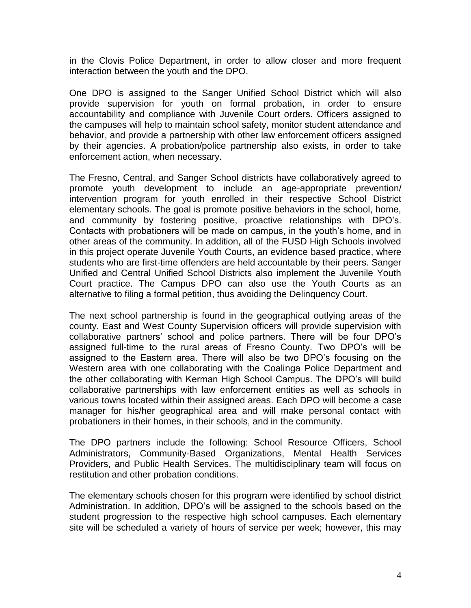in the Clovis Police Department, in order to allow closer and more frequent interaction between the youth and the DPO.

One DPO is assigned to the Sanger Unified School District which will also provide supervision for youth on formal probation, in order to ensure accountability and compliance with Juvenile Court orders. Officers assigned to the campuses will help to maintain school safety, monitor student attendance and behavior, and provide a partnership with other law enforcement officers assigned by their agencies. A probation/police partnership also exists, in order to take enforcement action, when necessary.

The Fresno, Central, and Sanger School districts have collaboratively agreed to promote youth development to include an age-appropriate prevention/ intervention program for youth enrolled in their respective School District elementary schools. The goal is promote positive behaviors in the school, home, and community by fostering positive, proactive relationships with DPO's. Contacts with probationers will be made on campus, in the youth's home, and in other areas of the community. In addition, all of the FUSD High Schools involved in this project operate Juvenile Youth Courts, an evidence based practice, where students who are first-time offenders are held accountable by their peers. Sanger Unified and Central Unified School Districts also implement the Juvenile Youth Court practice. The Campus DPO can also use the Youth Courts as an alternative to filing a formal petition, thus avoiding the Delinquency Court.

The next school partnership is found in the geographical outlying areas of the county. East and West County Supervision officers will provide supervision with collaborative partners' school and police partners. There will be four DPO's assigned full-time to the rural areas of Fresno County. Two DPO's will be assigned to the Eastern area. There will also be two DPO's focusing on the Western area with one collaborating with the Coalinga Police Department and the other collaborating with Kerman High School Campus. The DPO's will build collaborative partnerships with law enforcement entities as well as schools in various towns located within their assigned areas. Each DPO will become a case manager for his/her geographical area and will make personal contact with probationers in their homes, in their schools, and in the community.

The DPO partners include the following: School Resource Officers, School Administrators, Community-Based Organizations, Mental Health Services Providers, and Public Health Services. The multidisciplinary team will focus on restitution and other probation conditions.

The elementary schools chosen for this program were identified by school district Administration. In addition, DPO's will be assigned to the schools based on the student progression to the respective high school campuses. Each elementary site will be scheduled a variety of hours of service per week; however, this may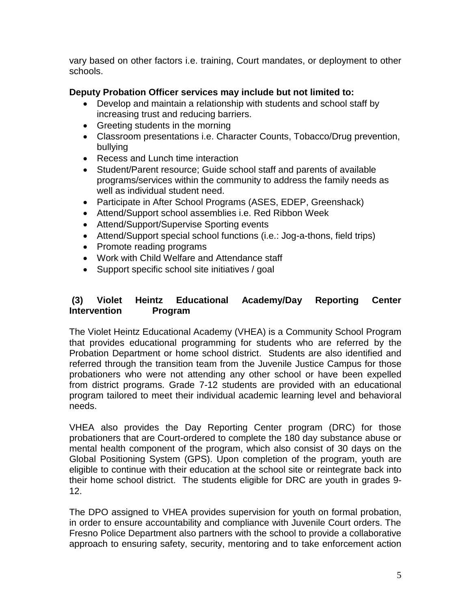vary based on other factors i.e. training, Court mandates, or deployment to other schools.

## **Deputy Probation Officer services may include but not limited to:**

- Develop and maintain a relationship with students and school staff by increasing trust and reducing barriers.
- Greeting students in the morning
- Classroom presentations i.e. Character Counts, Tobacco/Drug prevention, bullying
- Recess and Lunch time interaction
- Student/Parent resource; Guide school staff and parents of available programs/services within the community to address the family needs as well as individual student need.
- Participate in After School Programs (ASES, EDEP, Greenshack)
- Attend/Support school assemblies i.e. Red Ribbon Week
- Attend/Support/Supervise Sporting events
- Attend/Support special school functions (i.e.: Jog-a-thons, field trips)
- Promote reading programs
- Work with Child Welfare and Attendance staff
- Support specific school site initiatives / goal

#### **(3) Violet Heintz Educational Academy/Day Reporting Center Intervention Program**

The Violet Heintz Educational Academy (VHEA) is a Community School Program that provides educational programming for students who are referred by the Probation Department or home school district. Students are also identified and referred through the transition team from the Juvenile Justice Campus for those probationers who were not attending any other school or have been expelled from district programs. Grade 7-12 students are provided with an educational program tailored to meet their individual academic learning level and behavioral needs.

VHEA also provides the Day Reporting Center program (DRC) for those probationers that are Court-ordered to complete the 180 day substance abuse or mental health component of the program, which also consist of 30 days on the Global Positioning System (GPS). Upon completion of the program, youth are eligible to continue with their education at the school site or reintegrate back into their home school district. The students eligible for DRC are youth in grades 9- 12.

The DPO assigned to VHEA provides supervision for youth on formal probation, in order to ensure accountability and compliance with Juvenile Court orders. The Fresno Police Department also partners with the school to provide a collaborative approach to ensuring safety, security, mentoring and to take enforcement action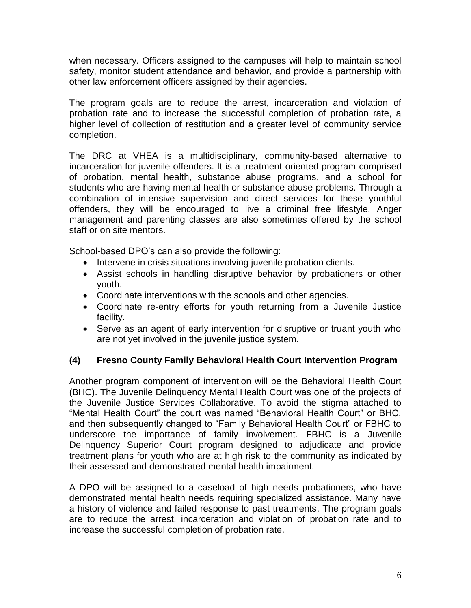when necessary. Officers assigned to the campuses will help to maintain school safety, monitor student attendance and behavior, and provide a partnership with other law enforcement officers assigned by their agencies.

The program goals are to reduce the arrest, incarceration and violation of probation rate and to increase the successful completion of probation rate, a higher level of collection of restitution and a greater level of community service completion.

The DRC at VHEA is a multidisciplinary, community-based alternative to incarceration for juvenile offenders. It is a treatment-oriented program comprised of probation, mental health, substance abuse programs, and a school for students who are having mental health or substance abuse problems. Through a combination of intensive supervision and direct services for these youthful offenders, they will be encouraged to live a criminal free lifestyle. Anger management and parenting classes are also sometimes offered by the school staff or on site mentors.

School-based DPO's can also provide the following:

- Intervene in crisis situations involving juvenile probation clients.
- Assist schools in handling disruptive behavior by probationers or other youth.
- Coordinate interventions with the schools and other agencies.
- Coordinate re-entry efforts for youth returning from a Juvenile Justice facility.
- Serve as an agent of early intervention for disruptive or truant youth who are not yet involved in the juvenile justice system.

## **(4) Fresno County Family Behavioral Health Court Intervention Program**

Another program component of intervention will be the Behavioral Health Court (BHC). The Juvenile Delinquency Mental Health Court was one of the projects of the Juvenile Justice Services Collaborative. To avoid the stigma attached to "Mental Health Court" the court was named "Behavioral Health Court" or BHC, and then subsequently changed to "Family Behavioral Health Court" or FBHC to underscore the importance of family involvement. FBHC is a Juvenile Delinquency Superior Court program designed to adjudicate and provide treatment plans for youth who are at high risk to the community as indicated by their assessed and demonstrated mental health impairment.

A DPO will be assigned to a caseload of high needs probationers, who have demonstrated mental health needs requiring specialized assistance. Many have a history of violence and failed response to past treatments. The program goals are to reduce the arrest, incarceration and violation of probation rate and to increase the successful completion of probation rate.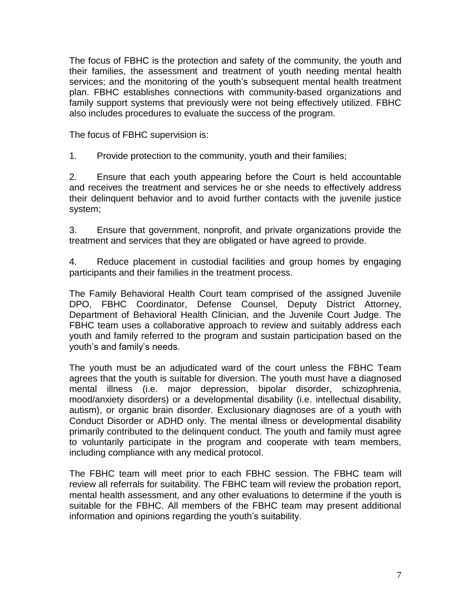The focus of FBHC is the protection and safety of the community, the youth and their families, the assessment and treatment of youth needing mental health services; and the monitoring of the youth's subsequent mental health treatment plan. FBHC establishes connections with community-based organizations and family support systems that previously were not being effectively utilized. FBHC also includes procedures to evaluate the success of the program.

The focus of FBHC supervision is:

1. Provide protection to the community, youth and their families;

2. Ensure that each youth appearing before the Court is held accountable and receives the treatment and services he or she needs to effectively address their delinquent behavior and to avoid further contacts with the juvenile justice system;

3. Ensure that government, nonprofit, and private organizations provide the treatment and services that they are obligated or have agreed to provide.

4. Reduce placement in custodial facilities and group homes by engaging participants and their families in the treatment process.

The Family Behavioral Health Court team comprised of the assigned Juvenile DPO, FBHC Coordinator, Defense Counsel, Deputy District Attorney, Department of Behavioral Health Clinician, and the Juvenile Court Judge. The FBHC team uses a collaborative approach to review and suitably address each youth and family referred to the program and sustain participation based on the youth's and family's needs.

The youth must be an adjudicated ward of the court unless the FBHC Team agrees that the youth is suitable for diversion. The youth must have a diagnosed mental illness (i.e. major depression, bipolar disorder, schizophrenia, mood/anxiety disorders) or a developmental disability (i.e. intellectual disability, autism), or organic brain disorder. Exclusionary diagnoses are of a youth with Conduct Disorder or ADHD only. The mental illness or developmental disability primarily contributed to the delinquent conduct. The youth and family must agree to voluntarily participate in the program and cooperate with team members, including compliance with any medical protocol.

The FBHC team will meet prior to each FBHC session. The FBHC team will review all referrals for suitability. The FBHC team will review the probation report, mental health assessment, and any other evaluations to determine if the youth is suitable for the FBHC. All members of the FBHC team may present additional information and opinions regarding the youth's suitability.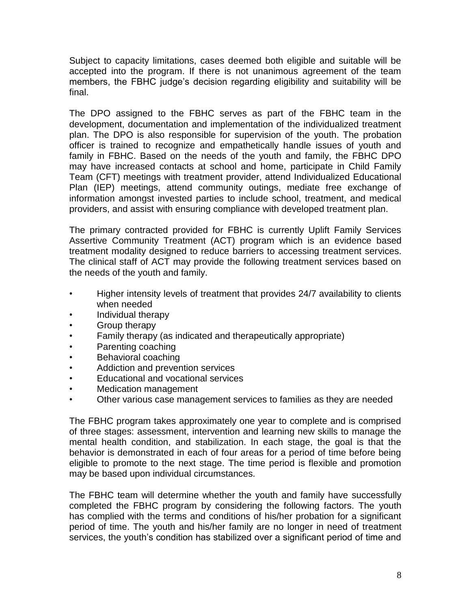Subject to capacity limitations, cases deemed both eligible and suitable will be accepted into the program. If there is not unanimous agreement of the team members, the FBHC judge's decision regarding eligibility and suitability will be final.

The DPO assigned to the FBHC serves as part of the FBHC team in the development, documentation and implementation of the individualized treatment plan. The DPO is also responsible for supervision of the youth. The probation officer is trained to recognize and empathetically handle issues of youth and family in FBHC. Based on the needs of the youth and family, the FBHC DPO may have increased contacts at school and home, participate in Child Family Team (CFT) meetings with treatment provider, attend Individualized Educational Plan (IEP) meetings, attend community outings, mediate free exchange of information amongst invested parties to include school, treatment, and medical providers, and assist with ensuring compliance with developed treatment plan.

The primary contracted provided for FBHC is currently Uplift Family Services Assertive Community Treatment (ACT) program which is an evidence based treatment modality designed to reduce barriers to accessing treatment services. The clinical staff of ACT may provide the following treatment services based on the needs of the youth and family.

- Higher intensity levels of treatment that provides 24/7 availability to clients when needed
- Individual therapy
- Group therapy
- Family therapy (as indicated and therapeutically appropriate)
- Parenting coaching
- Behavioral coaching
- Addiction and prevention services
- Educational and vocational services
- Medication management
- Other various case management services to families as they are needed

The FBHC program takes approximately one year to complete and is comprised of three stages: assessment, intervention and learning new skills to manage the mental health condition, and stabilization. In each stage, the goal is that the behavior is demonstrated in each of four areas for a period of time before being eligible to promote to the next stage. The time period is flexible and promotion may be based upon individual circumstances.

The FBHC team will determine whether the youth and family have successfully completed the FBHC program by considering the following factors. The youth has complied with the terms and conditions of his/her probation for a significant period of time. The youth and his/her family are no longer in need of treatment services, the youth's condition has stabilized over a significant period of time and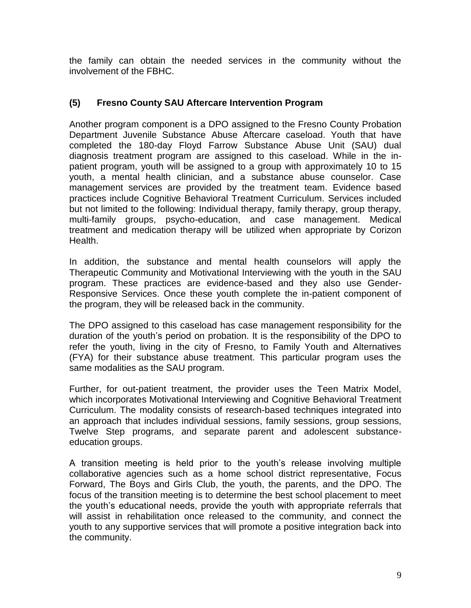the family can obtain the needed services in the community without the involvement of the FBHC.

#### **(5) Fresno County SAU Aftercare Intervention Program**

Another program component is a DPO assigned to the Fresno County Probation Department Juvenile Substance Abuse Aftercare caseload. Youth that have completed the 180-day Floyd Farrow Substance Abuse Unit (SAU) dual diagnosis treatment program are assigned to this caseload. While in the inpatient program, youth will be assigned to a group with approximately 10 to 15 youth, a mental health clinician, and a substance abuse counselor. Case management services are provided by the treatment team. Evidence based practices include Cognitive Behavioral Treatment Curriculum. Services included but not limited to the following: Individual therapy, family therapy, group therapy, multi-family groups, psycho-education, and case management. Medical treatment and medication therapy will be utilized when appropriate by Corizon Health.

In addition, the substance and mental health counselors will apply the Therapeutic Community and Motivational Interviewing with the youth in the SAU program. These practices are evidence-based and they also use Gender-Responsive Services. Once these youth complete the in-patient component of the program, they will be released back in the community.

The DPO assigned to this caseload has case management responsibility for the duration of the youth's period on probation. It is the responsibility of the DPO to refer the youth, living in the city of Fresno, to Family Youth and Alternatives (FYA) for their substance abuse treatment. This particular program uses the same modalities as the SAU program.

Further, for out-patient treatment, the provider uses the Teen Matrix Model, which incorporates Motivational Interviewing and Cognitive Behavioral Treatment Curriculum. The modality consists of research-based techniques integrated into an approach that includes individual sessions, family sessions, group sessions, Twelve Step programs, and separate parent and adolescent substanceeducation groups.

A transition meeting is held prior to the youth's release involving multiple collaborative agencies such as a home school district representative, Focus Forward, The Boys and Girls Club, the youth, the parents, and the DPO. The focus of the transition meeting is to determine the best school placement to meet the youth's educational needs, provide the youth with appropriate referrals that will assist in rehabilitation once released to the community, and connect the youth to any supportive services that will promote a positive integration back into the community.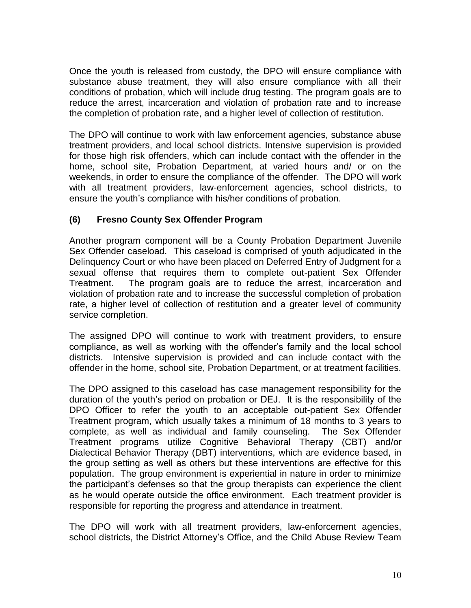Once the youth is released from custody, the DPO will ensure compliance with substance abuse treatment, they will also ensure compliance with all their conditions of probation, which will include drug testing. The program goals are to reduce the arrest, incarceration and violation of probation rate and to increase the completion of probation rate, and a higher level of collection of restitution.

The DPO will continue to work with law enforcement agencies, substance abuse treatment providers, and local school districts. Intensive supervision is provided for those high risk offenders, which can include contact with the offender in the home, school site, Probation Department, at varied hours and/ or on the weekends, in order to ensure the compliance of the offender. The DPO will work with all treatment providers, law-enforcement agencies, school districts, to ensure the youth's compliance with his/her conditions of probation.

## **(6) Fresno County Sex Offender Program**

Another program component will be a County Probation Department Juvenile Sex Offender caseload. This caseload is comprised of youth adjudicated in the Delinquency Court or who have been placed on Deferred Entry of Judgment for a sexual offense that requires them to complete out-patient Sex Offender Treatment. The program goals are to reduce the arrest, incarceration and violation of probation rate and to increase the successful completion of probation rate, a higher level of collection of restitution and a greater level of community service completion.

The assigned DPO will continue to work with treatment providers, to ensure compliance, as well as working with the offender's family and the local school districts. Intensive supervision is provided and can include contact with the offender in the home, school site, Probation Department, or at treatment facilities.

The DPO assigned to this caseload has case management responsibility for the duration of the youth's period on probation or DEJ. It is the responsibility of the DPO Officer to refer the youth to an acceptable out-patient Sex Offender Treatment program, which usually takes a minimum of 18 months to 3 years to complete, as well as individual and family counseling. The Sex Offender Treatment programs utilize Cognitive Behavioral Therapy (CBT) and/or Dialectical Behavior Therapy (DBT) interventions, which are evidence based, in the group setting as well as others but these interventions are effective for this population. The group environment is experiential in nature in order to minimize the participant's defenses so that the group therapists can experience the client as he would operate outside the office environment. Each treatment provider is responsible for reporting the progress and attendance in treatment.

The DPO will work with all treatment providers, law-enforcement agencies, school districts, the District Attorney's Office, and the Child Abuse Review Team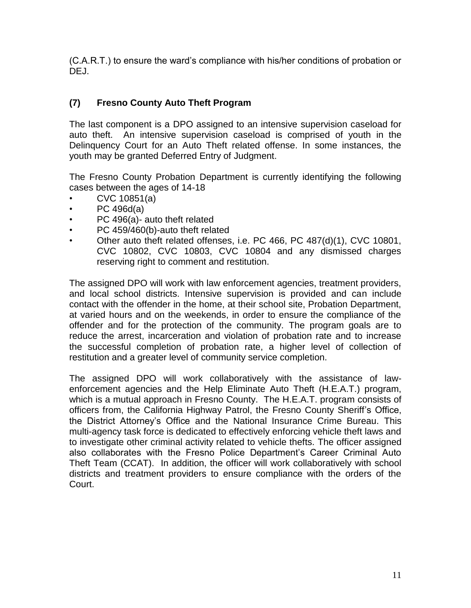(C.A.R.T.) to ensure the ward's compliance with his/her conditions of probation or DEJ.

## **(7) Fresno County Auto Theft Program**

The last component is a DPO assigned to an intensive supervision caseload for auto theft. An intensive supervision caseload is comprised of youth in the Delinquency Court for an Auto Theft related offense. In some instances, the youth may be granted Deferred Entry of Judgment.

The Fresno County Probation Department is currently identifying the following cases between the ages of 14-18

- CVC 10851(a)
- PC 496d(a)
- PC 496(a)- auto theft related
- PC 459/460(b)-auto theft related
- Other auto theft related offenses, i.e. PC 466, PC 487(d)(1), CVC 10801, CVC 10802, CVC 10803, CVC 10804 and any dismissed charges reserving right to comment and restitution.

The assigned DPO will work with law enforcement agencies, treatment providers, and local school districts. Intensive supervision is provided and can include contact with the offender in the home, at their school site, Probation Department, at varied hours and on the weekends, in order to ensure the compliance of the offender and for the protection of the community. The program goals are to reduce the arrest, incarceration and violation of probation rate and to increase the successful completion of probation rate, a higher level of collection of restitution and a greater level of community service completion.

The assigned DPO will work collaboratively with the assistance of lawenforcement agencies and the Help Eliminate Auto Theft (H.E.A.T.) program, which is a mutual approach in Fresno County. The H.E.A.T. program consists of officers from, the California Highway Patrol, the Fresno County Sheriff's Office, the District Attorney's Office and the National Insurance Crime Bureau. This multi-agency task force is dedicated to effectively enforcing vehicle theft laws and to investigate other criminal activity related to vehicle thefts. The officer assigned also collaborates with the Fresno Police Department's Career Criminal Auto Theft Team (CCAT). In addition, the officer will work collaboratively with school districts and treatment providers to ensure compliance with the orders of the Court.